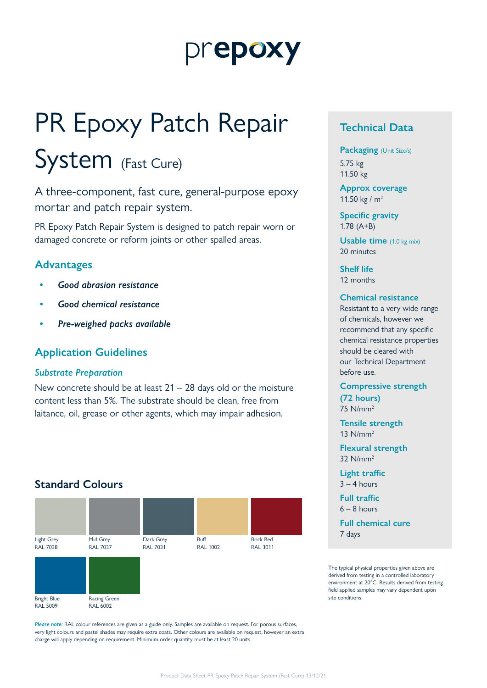# prepoxy

# PR Epoxy Patch Repair

# System (Fast Cure)

A three-component, fast cure, general-purpose epoxy mortar and patch repair system.

PR Epoxy Patch Repair System is designed to patch repair worn or damaged concrete or reform joints or other spalled areas.

### **Advantages**

- *• Good abrasion resistance*
- *• Good chemical resistance*
- *• Pre-weighed packs available*

### **Application Guidelines**

#### *Substrate Preparation*

New concrete should be at least  $21 - 28$  days old or the moisture content less than 5%. The substrate should be clean, free from laitance, oil, grease or other agents, which may impair adhesion.

## **Standard Colours**



*Please note:* RAL colour references are given as a guide only. Samples are available on request. For porous surfaces, very light colours and pastel shades may require extra coats. Other colours are available on request, however an extra charge will apply depending on requirement. Minimum order quantity must be at least 20 units.

# **Technical Data**

**Packaging** (Unit Size/s) 5.75 kg

11.50 kg

**Approx coverage** 11.50 kg /  $m^2$ 

**Specific gravity** 1.78 (A+B)

**Usable time** (1.0 kg mix) 20 minutes

**Shelf life** 12 months

#### **Chemical resistance**

Resistant to a very wide range of chemicals, however we recommend that any specific chemical resistance properties should be cleared with our Technical Department before use.

**Compressive strength (72 hours)** 75 N/mm2

**Tensile strength** 13 N/mm2

**Flexural strength** 32 N/mm2

**Light traffic**  $3 - 4$  hours

**Full traffic**  $6 - 8$  hours

**Full chemical cure** 7 days

The typical physical properties given above are derived from testing in a controlled laboratory environment at 20°C. Results derived from testing field applied samples may vary dependent upon site conditions.